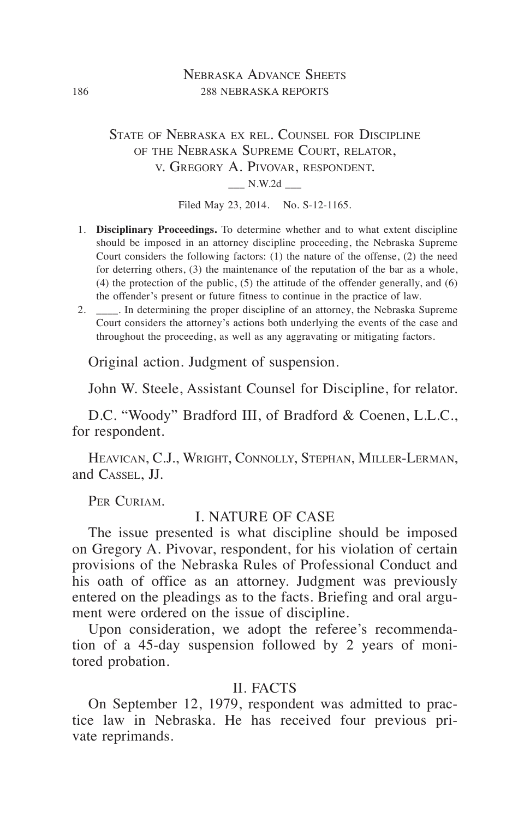#### NEBRASKA ADVANCE SHEETS 186 288 NEBRASKA REPORTS

## State of Nebraska ex rel. Counsel for Discipline of the Nebraska Supreme Court, relator, v. Gregory A. Pivovar, respondent.  $N.W.2d$

Filed May 23, 2014. No. S-12-1165.

- 1. **Disciplinary Proceedings.** To determine whether and to what extent discipline should be imposed in an attorney discipline proceeding, the Nebraska Supreme Court considers the following factors: (1) the nature of the offense, (2) the need for deterring others, (3) the maintenance of the reputation of the bar as a whole, (4) the protection of the public, (5) the attitude of the offender generally, and (6) the offender's present or future fitness to continue in the practice of law.
- 2. \_\_\_\_. In determining the proper discipline of an attorney, the Nebraska Supreme Court considers the attorney's actions both underlying the events of the case and throughout the proceeding, as well as any aggravating or mitigating factors.

Original action. Judgment of suspension.

John W. Steele, Assistant Counsel for Discipline, for relator.

D.C. "Woody" Bradford III, of Bradford & Coenen, L.L.C., for respondent.

Heavican, C.J., Wright, Connolly, Stephan, Miller-Lerman, and Cassel, JJ.

PER CURIAM.

#### I. NATURE OF CASE

The issue presented is what discipline should be imposed on Gregory A. Pivovar, respondent, for his violation of certain provisions of the Nebraska Rules of Professional Conduct and his oath of office as an attorney. Judgment was previously entered on the pleadings as to the facts. Briefing and oral argument were ordered on the issue of discipline.

Upon consideration, we adopt the referee's recommendation of a 45-day suspension followed by 2 years of monitored probation.

## II. FACTS

On September 12, 1979, respondent was admitted to practice law in Nebraska. He has received four previous private reprimands.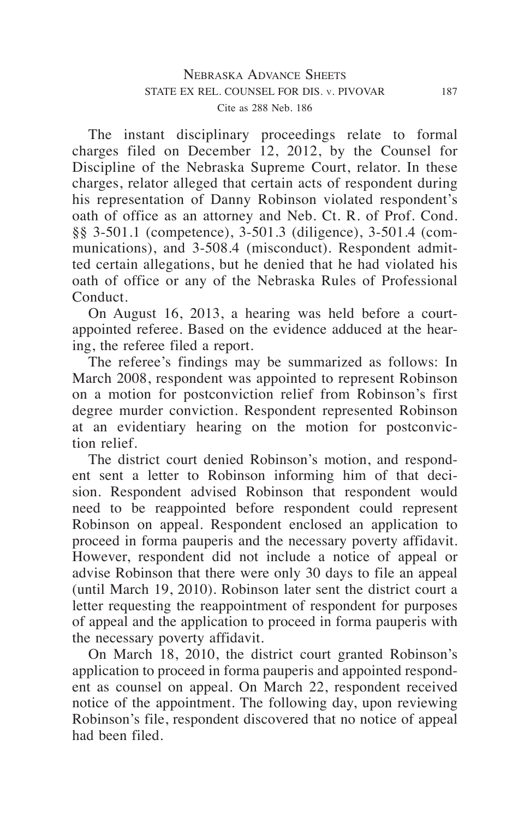The instant disciplinary proceedings relate to formal charges filed on December 12, 2012, by the Counsel for Discipline of the Nebraska Supreme Court, relator. In these charges, relator alleged that certain acts of respondent during his representation of Danny Robinson violated respondent's oath of office as an attorney and Neb. Ct. R. of Prof. Cond. §§ 3-501.1 (competence), 3-501.3 (diligence), 3-501.4 (communications), and 3-508.4 (misconduct). Respondent admitted certain allegations, but he denied that he had violated his oath of office or any of the Nebraska Rules of Professional Conduct.

On August 16, 2013, a hearing was held before a courtappointed referee. Based on the evidence adduced at the hearing, the referee filed a report.

The referee's findings may be summarized as follows: In March 2008, respondent was appointed to represent Robinson on a motion for postconviction relief from Robinson's first degree murder conviction. Respondent represented Robinson at an evidentiary hearing on the motion for postconviction relief.

The district court denied Robinson's motion, and respondent sent a letter to Robinson informing him of that decision. Respondent advised Robinson that respondent would need to be reappointed before respondent could represent Robinson on appeal. Respondent enclosed an application to proceed in forma pauperis and the necessary poverty affidavit. However, respondent did not include a notice of appeal or advise Robinson that there were only 30 days to file an appeal (until March 19, 2010). Robinson later sent the district court a letter requesting the reappointment of respondent for purposes of appeal and the application to proceed in forma pauperis with the necessary poverty affidavit.

On March 18, 2010, the district court granted Robinson's application to proceed in forma pauperis and appointed respondent as counsel on appeal. On March 22, respondent received notice of the appointment. The following day, upon reviewing Robinson's file, respondent discovered that no notice of appeal had been filed.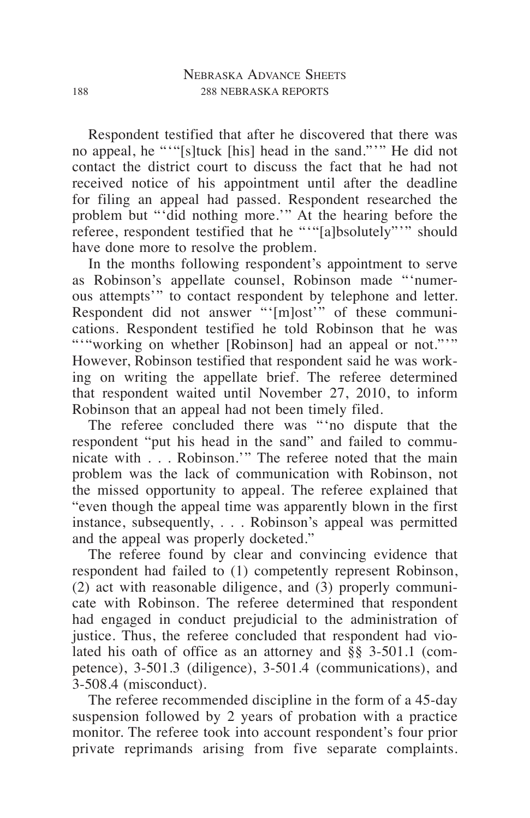Respondent testified that after he discovered that there was no appeal, he "'"[s]tuck [his] head in the sand."'" He did not contact the district court to discuss the fact that he had not received notice of his appointment until after the deadline for filing an appeal had passed. Respondent researched the problem but "'did nothing more.'" At the hearing before the referee, respondent testified that he """[a]bsolutely""" should have done more to resolve the problem.

In the months following respondent's appointment to serve as Robinson's appellate counsel, Robinson made "'numerous attempts'" to contact respondent by telephone and letter. Respondent did not answer "'[m]ost" of these communications. Respondent testified he told Robinson that he was ""working on whether [Robinson] had an appeal or not.""" However, Robinson testified that respondent said he was working on writing the appellate brief. The referee determined that respondent waited until November 27, 2010, to inform Robinson that an appeal had not been timely filed.

The referee concluded there was "'no dispute that the respondent "put his head in the sand" and failed to communicate with . . . Robinson.'" The referee noted that the main problem was the lack of communication with Robinson, not the missed opportunity to appeal. The referee explained that "even though the appeal time was apparently blown in the first instance, subsequently, . . . Robinson's appeal was permitted and the appeal was properly docketed."

The referee found by clear and convincing evidence that respondent had failed to (1) competently represent Robinson, (2) act with reasonable diligence, and (3) properly communicate with Robinson. The referee determined that respondent had engaged in conduct prejudicial to the administration of justice. Thus, the referee concluded that respondent had violated his oath of office as an attorney and §§ 3-501.1 (competence), 3-501.3 (diligence), 3-501.4 (communications), and 3-508.4 (misconduct).

The referee recommended discipline in the form of a 45-day suspension followed by 2 years of probation with a practice monitor. The referee took into account respondent's four prior private reprimands arising from five separate complaints.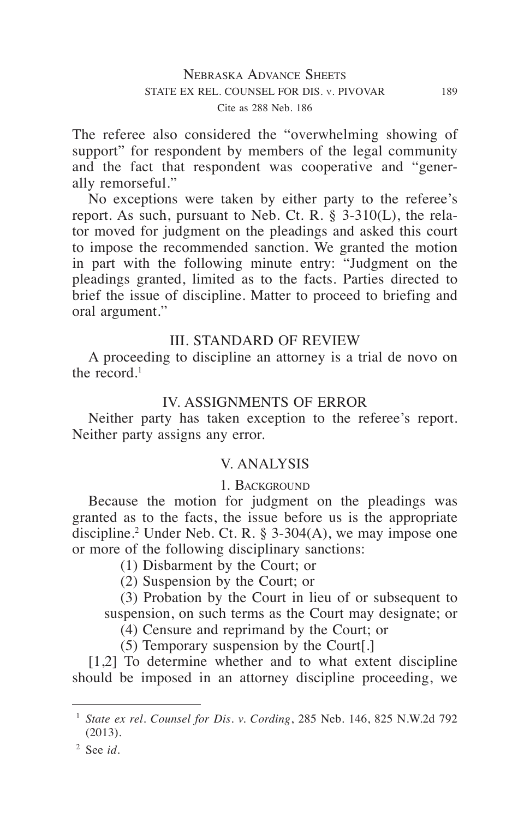The referee also considered the "overwhelming showing of support" for respondent by members of the legal community and the fact that respondent was cooperative and "generally remorseful."

No exceptions were taken by either party to the referee's report. As such, pursuant to Neb. Ct. R. § 3-310(L), the relator moved for judgment on the pleadings and asked this court to impose the recommended sanction. We granted the motion in part with the following minute entry: "Judgment on the pleadings granted, limited as to the facts. Parties directed to brief the issue of discipline. Matter to proceed to briefing and oral argument."

# III. STANDARD OF REVIEW

A proceeding to discipline an attorney is a trial de novo on the record.<sup>1</sup>

## IV. ASSIGNMENTS OF ERROR

Neither party has taken exception to the referee's report. Neither party assigns any error.

## V. ANALYSIS

## 1. Background

Because the motion for judgment on the pleadings was granted as to the facts, the issue before us is the appropriate discipline.2 Under Neb. Ct. R. § 3-304(A), we may impose one or more of the following disciplinary sanctions:

- (1) Disbarment by the Court; or
- (2) Suspension by the Court; or

(3) Probation by the Court in lieu of or subsequent to suspension, on such terms as the Court may designate; or

(4) Censure and reprimand by the Court; or

(5) Temporary suspension by the Court[.]

[1,2] To determine whether and to what extent discipline should be imposed in an attorney discipline proceeding, we

<sup>2</sup> See *id*.

<sup>1</sup> *State ex rel. Counsel for Dis. v. Cording*, 285 Neb. 146, 825 N.W.2d 792 (2013).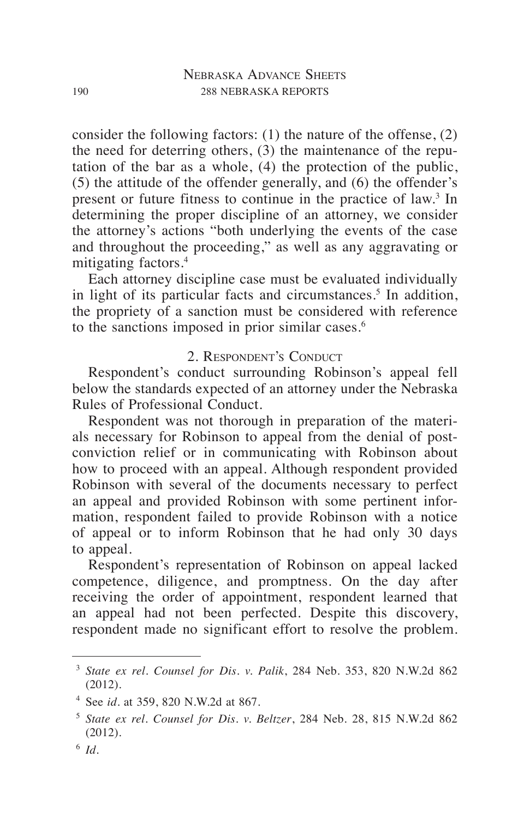consider the following factors: (1) the nature of the offense, (2) the need for deterring others, (3) the maintenance of the reputation of the bar as a whole, (4) the protection of the public, (5) the attitude of the offender generally, and (6) the offender's present or future fitness to continue in the practice of law.<sup>3</sup> In determining the proper discipline of an attorney, we consider the attorney's actions "both underlying the events of the case and throughout the proceeding," as well as any aggravating or mitigating factors.4

Each attorney discipline case must be evaluated individually in light of its particular facts and circumstances.<sup>5</sup> In addition, the propriety of a sanction must be considered with reference to the sanctions imposed in prior similar cases.<sup>6</sup>

### 2. Respondent's Conduct

Respondent's conduct surrounding Robinson's appeal fell below the standards expected of an attorney under the Nebraska Rules of Professional Conduct.

Respondent was not thorough in preparation of the materials necessary for Robinson to appeal from the denial of postconviction relief or in communicating with Robinson about how to proceed with an appeal. Although respondent provided Robinson with several of the documents necessary to perfect an appeal and provided Robinson with some pertinent information, respondent failed to provide Robinson with a notice of appeal or to inform Robinson that he had only 30 days to appeal.

Respondent's representation of Robinson on appeal lacked competence, diligence, and promptness. On the day after receiving the order of appointment, respondent learned that an appeal had not been perfected. Despite this discovery, respondent made no significant effort to resolve the problem.

<sup>3</sup> *State ex rel. Counsel for Dis. v. Palik*, 284 Neb. 353, 820 N.W.2d 862 (2012).

<sup>4</sup> See *id.* at 359, 820 N.W.2d at 867.

<sup>5</sup> *State ex rel. Counsel for Dis. v. Beltzer*, 284 Neb. 28, 815 N.W.2d 862 (2012).

<sup>6</sup> *Id.*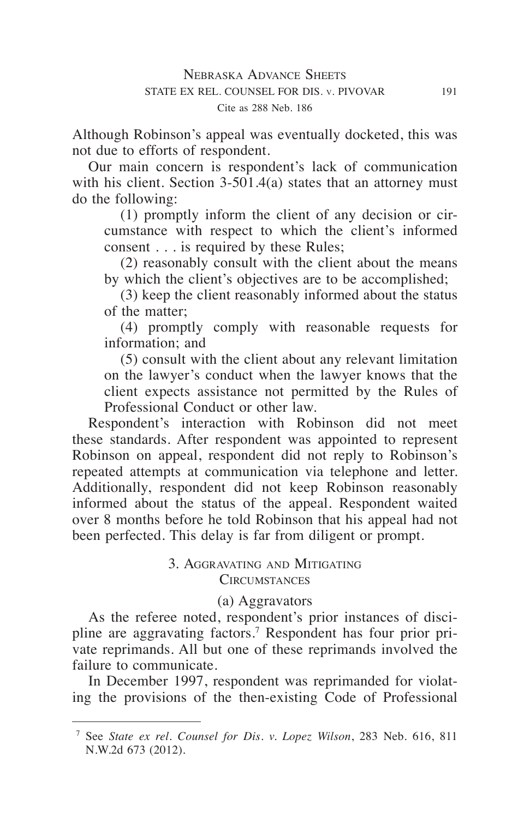Although Robinson's appeal was eventually docketed, this was not due to efforts of respondent.

Our main concern is respondent's lack of communication with his client. Section  $3-501.4(a)$  states that an attorney must do the following:

(1) promptly inform the client of any decision or circumstance with respect to which the client's informed consent . . . is required by these Rules;

(2) reasonably consult with the client about the means by which the client's objectives are to be accomplished;

(3) keep the client reasonably informed about the status of the matter;

(4) promptly comply with reasonable requests for information; and

(5) consult with the client about any relevant limitation on the lawyer's conduct when the lawyer knows that the client expects assistance not permitted by the Rules of Professional Conduct or other law.

Respondent's interaction with Robinson did not meet these standards. After respondent was appointed to represent Robinson on appeal, respondent did not reply to Robinson's repeated attempts at communication via telephone and letter. Additionally, respondent did not keep Robinson reasonably informed about the status of the appeal. Respondent waited over 8 months before he told Robinson that his appeal had not been perfected. This delay is far from diligent or prompt.

# 3. Aggravating and Mitigating **CIRCUMSTANCES**

# (a) Aggravators

As the referee noted, respondent's prior instances of discipline are aggravating factors.<sup>7</sup> Respondent has four prior private reprimands. All but one of these reprimands involved the failure to communicate.

In December 1997, respondent was reprimanded for violating the provisions of the then-existing Code of Professional

<sup>7</sup> See *State ex rel. Counsel for Dis. v. Lopez Wilson*, 283 Neb. 616, 811 N.W.2d 673 (2012).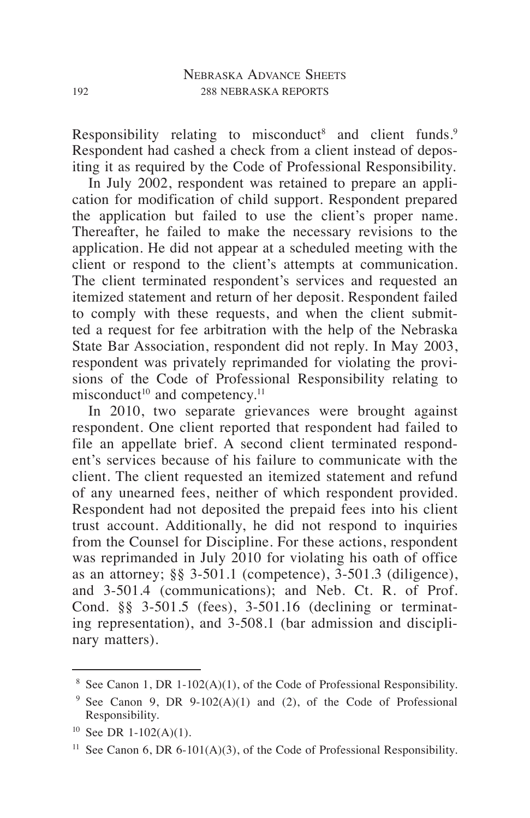Responsibility relating to misconduct<sup>8</sup> and client funds.<sup>9</sup> Respondent had cashed a check from a client instead of depositing it as required by the Code of Professional Responsibility.

In July 2002, respondent was retained to prepare an application for modification of child support. Respondent prepared the application but failed to use the client's proper name. Thereafter, he failed to make the necessary revisions to the application. He did not appear at a scheduled meeting with the client or respond to the client's attempts at communication. The client terminated respondent's services and requested an itemized statement and return of her deposit. Respondent failed to comply with these requests, and when the client submitted a request for fee arbitration with the help of the Nebraska State Bar Association, respondent did not reply. In May 2003, respondent was privately reprimanded for violating the provisions of the Code of Professional Responsibility relating to misconduct<sup>10</sup> and competency.<sup>11</sup>

In 2010, two separate grievances were brought against respondent. One client reported that respondent had failed to file an appellate brief. A second client terminated respondent's services because of his failure to communicate with the client. The client requested an itemized statement and refund of any unearned fees, neither of which respondent provided. Respondent had not deposited the prepaid fees into his client trust account. Additionally, he did not respond to inquiries from the Counsel for Discipline. For these actions, respondent was reprimanded in July 2010 for violating his oath of office as an attorney; §§ 3-501.1 (competence), 3-501.3 (diligence), and 3-501.4 (communications); and Neb. Ct. R. of Prof. Cond. §§ 3-501.5 (fees), 3-501.16 (declining or terminating representation), and 3-508.1 (bar admission and disciplinary matters).

See Canon 1, DR 1-102(A)(1), of the Code of Professional Responsibility.

<sup>&</sup>lt;sup>9</sup> See Canon 9, DR 9-102(A)(1) and (2), of the Code of Professional Responsibility.

 $10$  See DR 1-102(A)(1).

<sup>&</sup>lt;sup>11</sup> See Canon 6, DR 6-101(A)(3), of the Code of Professional Responsibility.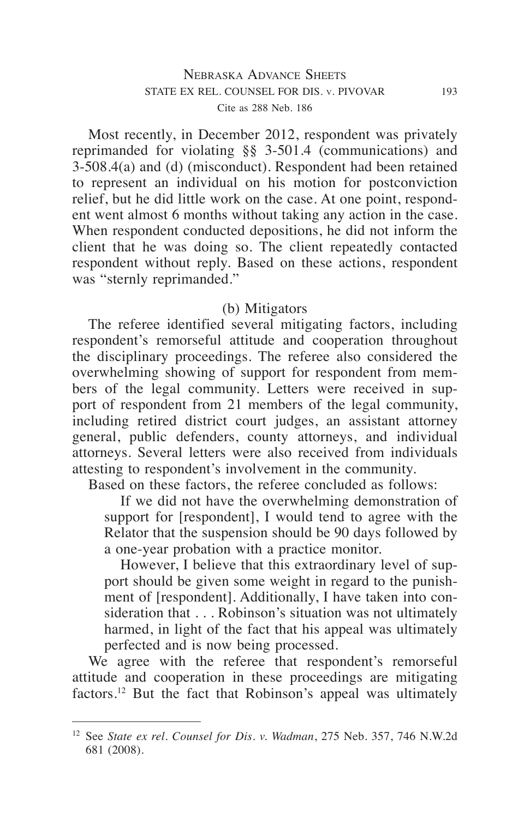Most recently, in December 2012, respondent was privately reprimanded for violating §§ 3-501.4 (communications) and 3-508.4(a) and (d) (misconduct). Respondent had been retained to represent an individual on his motion for postconviction relief, but he did little work on the case. At one point, respondent went almost 6 months without taking any action in the case. When respondent conducted depositions, he did not inform the client that he was doing so. The client repeatedly contacted respondent without reply. Based on these actions, respondent was "sternly reprimanded."

## (b) Mitigators

The referee identified several mitigating factors, including respondent's remorseful attitude and cooperation throughout the disciplinary proceedings. The referee also considered the overwhelming showing of support for respondent from members of the legal community. Letters were received in support of respondent from 21 members of the legal community, including retired district court judges, an assistant attorney general, public defenders, county attorneys, and individual attorneys. Several letters were also received from individuals attesting to respondent's involvement in the community.

Based on these factors, the referee concluded as follows:

If we did not have the overwhelming demonstration of support for [respondent], I would tend to agree with the Relator that the suspension should be 90 days followed by a one-year probation with a practice monitor.

However, I believe that this extraordinary level of support should be given some weight in regard to the punishment of [respondent]. Additionally, I have taken into consideration that . . . Robinson's situation was not ultimately harmed, in light of the fact that his appeal was ultimately perfected and is now being processed.

We agree with the referee that respondent's remorseful attitude and cooperation in these proceedings are mitigating factors.<sup>12</sup> But the fact that Robinson's appeal was ultimately

<sup>12</sup> See *State ex rel. Counsel for Dis. v. Wadman*, 275 Neb. 357, 746 N.W.2d 681 (2008).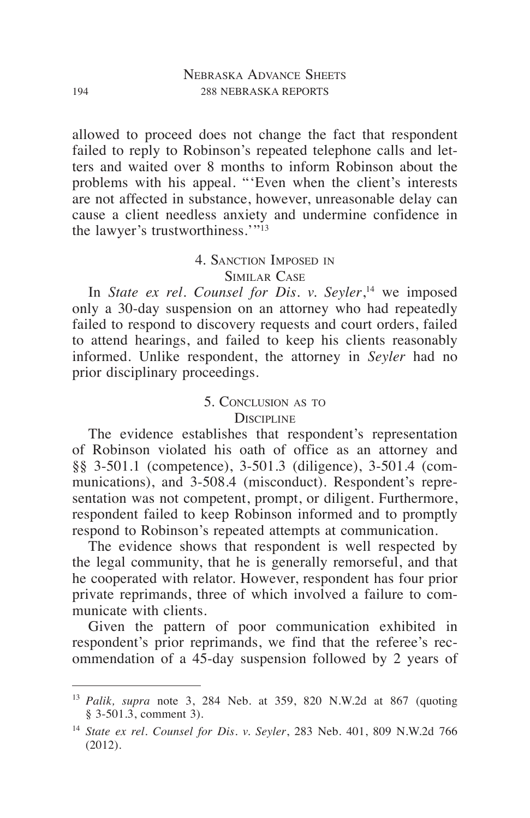allowed to proceed does not change the fact that respondent failed to reply to Robinson's repeated telephone calls and letters and waited over 8 months to inform Robinson about the problems with his appeal. "'Even when the client's interests are not affected in substance, however, unreasonable delay can cause a client needless anxiety and undermine confidence in the lawyer's trustworthiness.'"13

#### 4. Sanction Imposed in Similar Case

In *State ex rel. Counsel for Dis. v. Seyler*, 14 we imposed only a 30-day suspension on an attorney who had repeatedly failed to respond to discovery requests and court orders, failed to attend hearings, and failed to keep his clients reasonably informed. Unlike respondent, the attorney in *Seyler* had no prior disciplinary proceedings.

### 5. Conclusion as to **DISCIPLINE**

The evidence establishes that respondent's representation of Robinson violated his oath of office as an attorney and §§ 3-501.1 (competence), 3-501.3 (diligence), 3-501.4 (communications), and 3-508.4 (misconduct). Respondent's representation was not competent, prompt, or diligent. Furthermore, respondent failed to keep Robinson informed and to promptly respond to Robinson's repeated attempts at communication.

The evidence shows that respondent is well respected by the legal community, that he is generally remorseful, and that he cooperated with relator. However, respondent has four prior private reprimands, three of which involved a failure to communicate with clients.

Given the pattern of poor communication exhibited in respondent's prior reprimands, we find that the referee's recommendation of a 45-day suspension followed by 2 years of

<sup>13</sup> *Palik, supra* note 3, 284 Neb. at 359, 820 N.W.2d at 867 (quoting § 3-501.3, comment 3).

<sup>14</sup> *State ex rel. Counsel for Dis. v. Seyler*, 283 Neb. 401, 809 N.W.2d 766 (2012).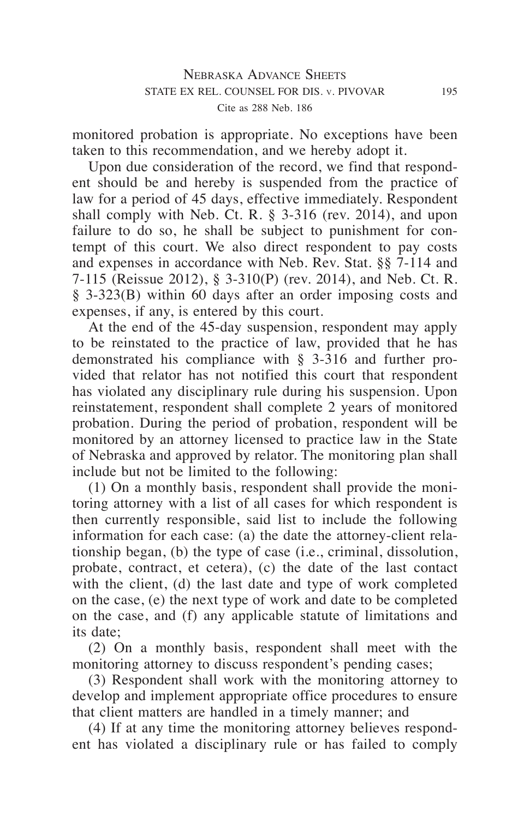monitored probation is appropriate. No exceptions have been taken to this recommendation, and we hereby adopt it.

Upon due consideration of the record, we find that respondent should be and hereby is suspended from the practice of law for a period of 45 days, effective immediately. Respondent shall comply with Neb. Ct. R. § 3-316 (rev. 2014), and upon failure to do so, he shall be subject to punishment for contempt of this court. We also direct respondent to pay costs and expenses in accordance with Neb. Rev. Stat. §§ 7-114 and 7-115 (Reissue 2012), § 3-310(P) (rev. 2014), and Neb. Ct. R. § 3-323(B) within 60 days after an order imposing costs and expenses, if any, is entered by this court.

At the end of the 45-day suspension, respondent may apply to be reinstated to the practice of law, provided that he has demonstrated his compliance with § 3-316 and further provided that relator has not notified this court that respondent has violated any disciplinary rule during his suspension. Upon reinstatement, respondent shall complete 2 years of monitored probation. During the period of probation, respondent will be monitored by an attorney licensed to practice law in the State of Nebraska and approved by relator. The monitoring plan shall include but not be limited to the following:

(1) On a monthly basis, respondent shall provide the monitoring attorney with a list of all cases for which respondent is then currently responsible, said list to include the following information for each case: (a) the date the attorney-client relationship began, (b) the type of case (i.e., criminal, dissolution, probate, contract, et cetera), (c) the date of the last contact with the client, (d) the last date and type of work completed on the case, (e) the next type of work and date to be completed on the case, and (f) any applicable statute of limitations and its date;

(2) On a monthly basis, respondent shall meet with the monitoring attorney to discuss respondent's pending cases;

(3) Respondent shall work with the monitoring attorney to develop and implement appropriate office procedures to ensure that client matters are handled in a timely manner; and

(4) If at any time the monitoring attorney believes respondent has violated a disciplinary rule or has failed to comply